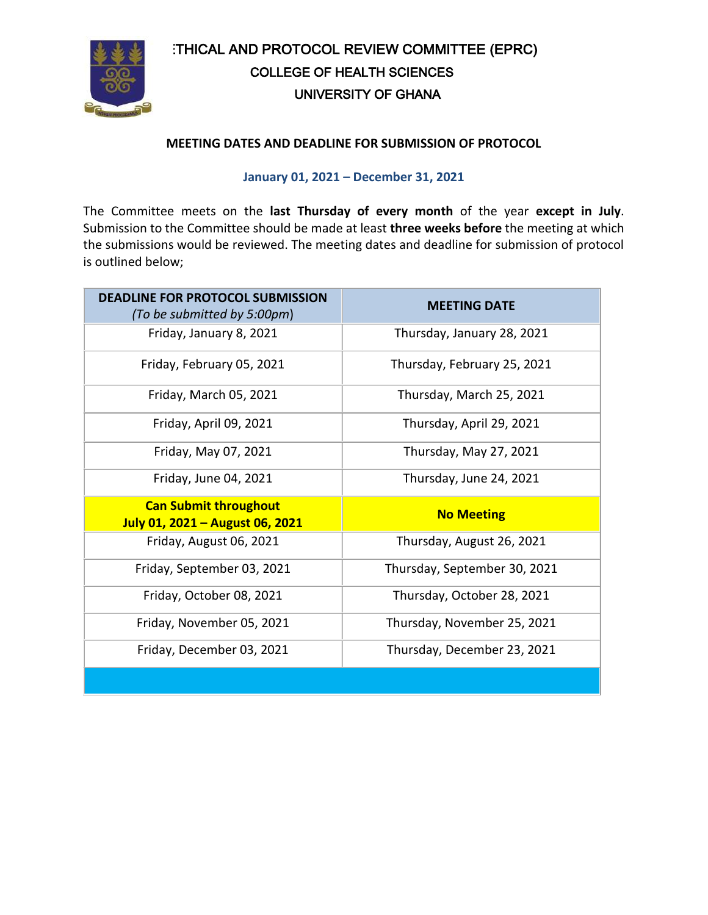

# ETHICAL AND PROTOCOL REVIEW COMMITTEE (EPRC) COLLEGE OF HEALTH SCIENCES UNIVERSITY OF GHANA

## **MEETING DATES AND DEADLINE FOR SUBMISSION OF PROTOCOL**

## **January 01, 2021 – December 31, 2021**

The Committee meets on the **last Thursday of every month** of the year **except in July**. Submission to the Committee should be made at least **three weeks before** the meeting at which the submissions would be reviewed. The meeting dates and deadline for submission of protocol is outlined below;

| <b>DEADLINE FOR PROTOCOL SUBMISSION</b><br>(To be submitted by 5:00pm) | <b>MEETING DATE</b>          |
|------------------------------------------------------------------------|------------------------------|
| Friday, January 8, 2021                                                | Thursday, January 28, 2021   |
| Friday, February 05, 2021                                              | Thursday, February 25, 2021  |
| Friday, March 05, 2021                                                 | Thursday, March 25, 2021     |
| Friday, April 09, 2021                                                 | Thursday, April 29, 2021     |
| Friday, May 07, 2021                                                   | Thursday, May 27, 2021       |
| Friday, June 04, 2021                                                  | Thursday, June 24, 2021      |
| <b>Can Submit throughout</b><br>July 01, 2021 - August 06, 2021        | <b>No Meeting</b>            |
| Friday, August 06, 2021                                                | Thursday, August 26, 2021    |
| Friday, September 03, 2021                                             | Thursday, September 30, 2021 |
| Friday, October 08, 2021                                               | Thursday, October 28, 2021   |
| Friday, November 05, 2021                                              | Thursday, November 25, 2021  |
| Friday, December 03, 2021                                              | Thursday, December 23, 2021  |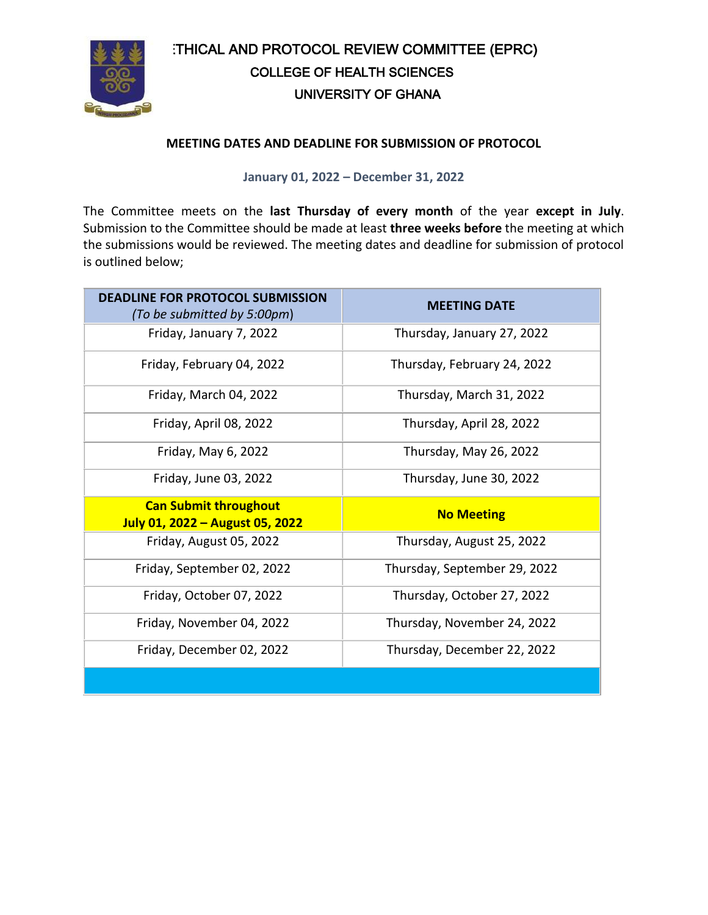

# ETHICAL AND PROTOCOL REVIEW COMMITTEE (EPRC) COLLEGE OF HEALTH SCIENCES UNIVERSITY OF GHANA

### **MEETING DATES AND DEADLINE FOR SUBMISSION OF PROTOCOL**

#### **January 01, 2022 – December 31, 2022**

The Committee meets on the **last Thursday of every month** of the year **except in July**. Submission to the Committee should be made at least **three weeks before** the meeting at which the submissions would be reviewed. The meeting dates and deadline for submission of protocol is outlined below;

| <b>DEADLINE FOR PROTOCOL SUBMISSION</b><br>(To be submitted by 5:00pm) | <b>MEETING DATE</b>          |
|------------------------------------------------------------------------|------------------------------|
| Friday, January 7, 2022                                                | Thursday, January 27, 2022   |
| Friday, February 04, 2022                                              | Thursday, February 24, 2022  |
| Friday, March 04, 2022                                                 | Thursday, March 31, 2022     |
| Friday, April 08, 2022                                                 | Thursday, April 28, 2022     |
| Friday, May 6, 2022                                                    | Thursday, May 26, 2022       |
| Friday, June 03, 2022                                                  | Thursday, June 30, 2022      |
| <b>Can Submit throughout</b><br>July 01, 2022 - August 05, 2022        | <b>No Meeting</b>            |
| Friday, August 05, 2022                                                | Thursday, August 25, 2022    |
| Friday, September 02, 2022                                             | Thursday, September 29, 2022 |
| Friday, October 07, 2022                                               | Thursday, October 27, 2022   |
| Friday, November 04, 2022                                              | Thursday, November 24, 2022  |
| Friday, December 02, 2022                                              | Thursday, December 22, 2022  |